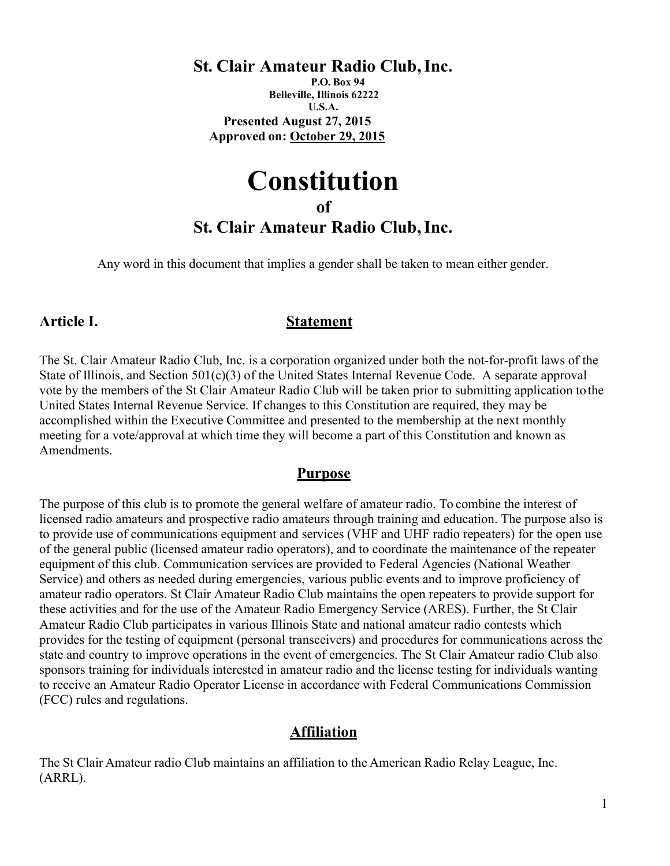# St. Clair Amateur Radio Club, Inc.

P.O. Box 94 Belleville, Illinois 62222 U.S.A. Presented August 27, 2015 Approved on: October 29, 2015

# **Constitution** of St. Clair Amateur Radio Club, Inc.

Any word in this document that implies a gender shall be taken to mean either gender.

### Article I. Statement

The St. Clair Amateur Radio Club, Inc. is a corporation organized under both the not-for-profit laws of the State of Illinois, and Section 501(c)(3) of the United States Internal Revenue Code. A separate approval vote by the members of the St Clair Amateur Radio Club will be taken prior to submitting application to the United States Internal Revenue Service. If changes to this Constitution are required, they may be accomplished within the Executive Committee and presented to the membership at the next monthly meeting for a vote/approval at which time they will become a part of this Constitution and known as Amendments.

### Purpose

The purpose of this club is to promote the general welfare of amateur radio. To combine the interest of licensed radio amateurs and prospective radio amateurs through training and education. The purpose also is to provide use of communications equipment and services (VHF and UHF radio repeaters) for the open use of the general public (licensed amateur radio operators), and to coordinate the maintenance of the repeater equipment of this club. Communication services are provided to Federal Agencies (National Weather Service) and others as needed during emergencies, various public events and to improve proficiency of amateur radio operators. St Clair Amateur Radio Club maintains the open repeaters to provide support for these activities and for the use of the Amateur Radio Emergency Service (ARES). Further, the St Clair Amateur Radio Club participates in various Illinois State and national amateur radio contests which provides for the testing of equipment (personal transceivers) and procedures for communications across the state and country to improve operations in the event of emergencies. The St Clair Amateur radio Club also sponsors training for individuals interested in amateur radio and the license testing for individuals wanting to receive an Amateur Radio Operator License in accordance with Federal Communications Commission (FCC) rules and regulations.

# Affiliation

The St Clair Amateur radio Club maintains an affiliation to the American Radio Relay League, Inc. (ARRL).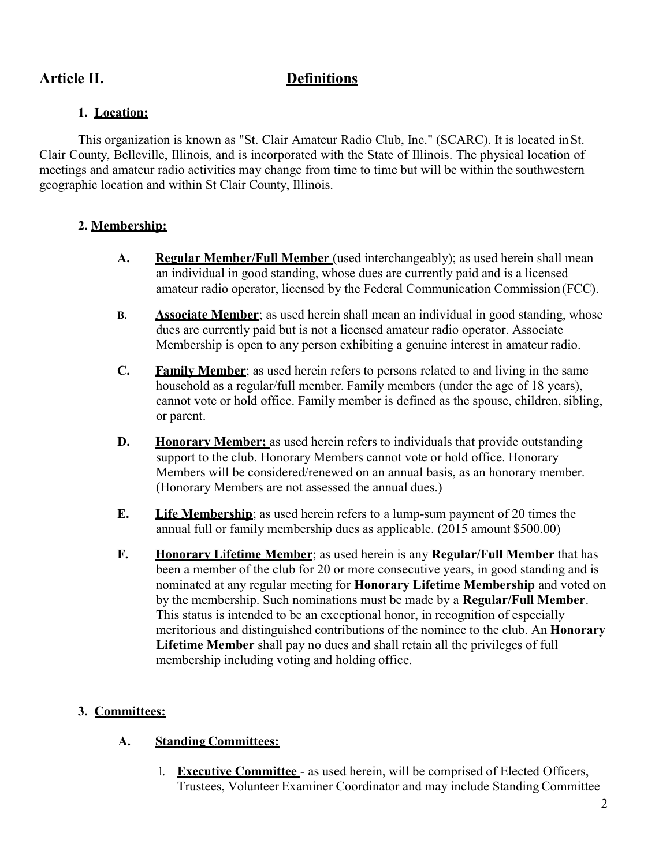# Article II. Definitions

### 1. Location:

This organization is known as "St. Clair Amateur Radio Club, Inc." (SCARC). It is located in St. Clair County, Belleville, Illinois, and is incorporated with the State of Illinois. The physical location of meetings and amateur radio activities may change from time to time but will be within the southwestern geographic location and within St Clair County, Illinois.

### 2. Membership:

- A. Regular Member/Full Member (used interchangeably); as used herein shall mean an individual in good standing, whose dues are currently paid and is a licensed amateur radio operator, licensed by the Federal Communication Commission (FCC).
- B. Associate Member; as used herein shall mean an individual in good standing, whose dues are currently paid but is not a licensed amateur radio operator. Associate Membership is open to any person exhibiting a genuine interest in amateur radio.
- C. Family Member; as used herein refers to persons related to and living in the same household as a regular/full member. Family members (under the age of 18 years), cannot vote or hold office. Family member is defined as the spouse, children, sibling, or parent.
- **D.** Honorary Member: as used herein refers to individuals that provide outstanding support to the club. Honorary Members cannot vote or hold office. Honorary Members will be considered/renewed on an annual basis, as an honorary member. (Honorary Members are not assessed the annual dues.)
- E. Life Membership; as used herein refers to a lump-sum payment of 20 times the annual full or family membership dues as applicable. (2015 amount \$500.00)
- F. Honorary Lifetime Member; as used herein is any Regular/Full Member that has been a member of the club for 20 or more consecutive years, in good standing and is nominated at any regular meeting for Honorary Lifetime Membership and voted on by the membership. Such nominations must be made by a **Regular/Full Member**. This status is intended to be an exceptional honor, in recognition of especially meritorious and distinguished contributions of the nominee to the club. An **Honorary** Lifetime Member shall pay no dues and shall retain all the privileges of full membership including voting and holding office.

### 3. Committees:

### A. Standing Committees:

1. Executive Committee - as used herein, will be comprised of Elected Officers, Trustees, Volunteer Examiner Coordinator and may include Standing Committee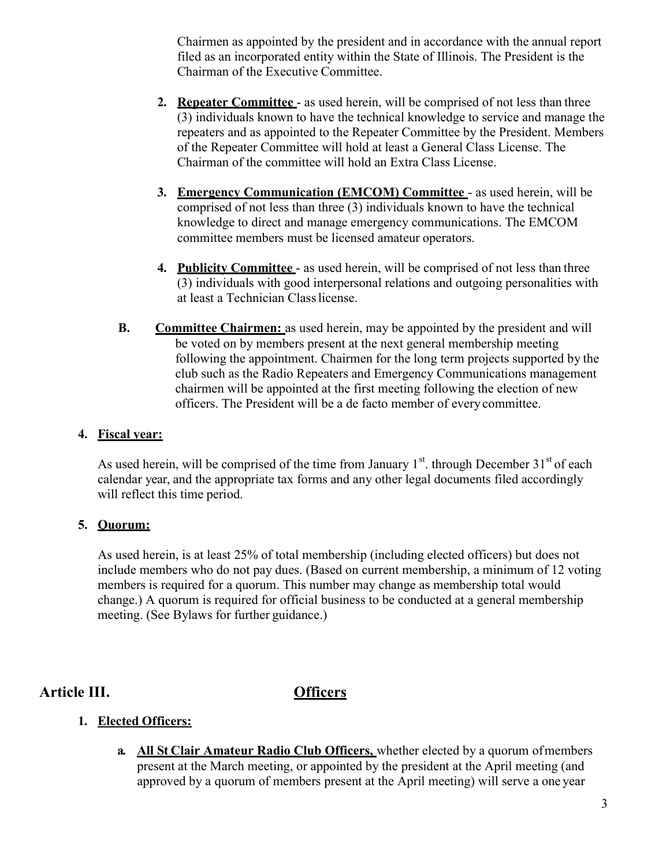Chairmen as appointed by the president and in accordance with the annual report filed as an incorporated entity within the State of Illinois. The President is the Chairman of the Executive Committee.

- 2. Repeater Committee as used herein, will be comprised of not less than three (3) individuals known to have the technical knowledge to service and manage the repeaters and as appointed to the Repeater Committee by the President. Members of the Repeater Committee will hold at least a General Class License. The Chairman of the committee will hold an Extra Class License.
- 3. Emergency Communication (EMCOM) Committee as used herein, will be comprised of not less than three (3) individuals known to have the technical knowledge to direct and manage emergency communications. The EMCOM committee members must be licensed amateur operators.
- 4. Publicity Committee as used herein, will be comprised of not less than three (3) individuals with good interpersonal relations and outgoing personalities with at least a Technician Class license.
- **B.** Committee Chairmen: as used herein, may be appointed by the president and will be voted on by members present at the next general membership meeting following the appointment. Chairmen for the long term projects supported by the club such as the Radio Repeaters and Emergency Communications management chairmen will be appointed at the first meeting following the election of new officers. The President will be a de facto member of every committee.

### 4. Fiscal year:

As used herein, will be comprised of the time from January  $1<sup>st</sup>$  through December  $31<sup>st</sup>$  of each calendar year, and the appropriate tax forms and any other legal documents filed accordingly will reflect this time period.

### 5. Quorum:

As used herein, is at least 25% of total membership (including elected officers) but does not include members who do not pay dues. (Based on current membership, a minimum of 12 voting members is required for a quorum. This number may change as membership total would change.) A quorum is required for official business to be conducted at a general membership meeting. (See Bylaws for further guidance.)

### Article III. Officers

### 1. Elected Officers:

a. All St Clair Amateur Radio Club Officers, whether elected by a quorum of members present at the March meeting, or appointed by the president at the April meeting (and approved by a quorum of members present at the April meeting) will serve a one year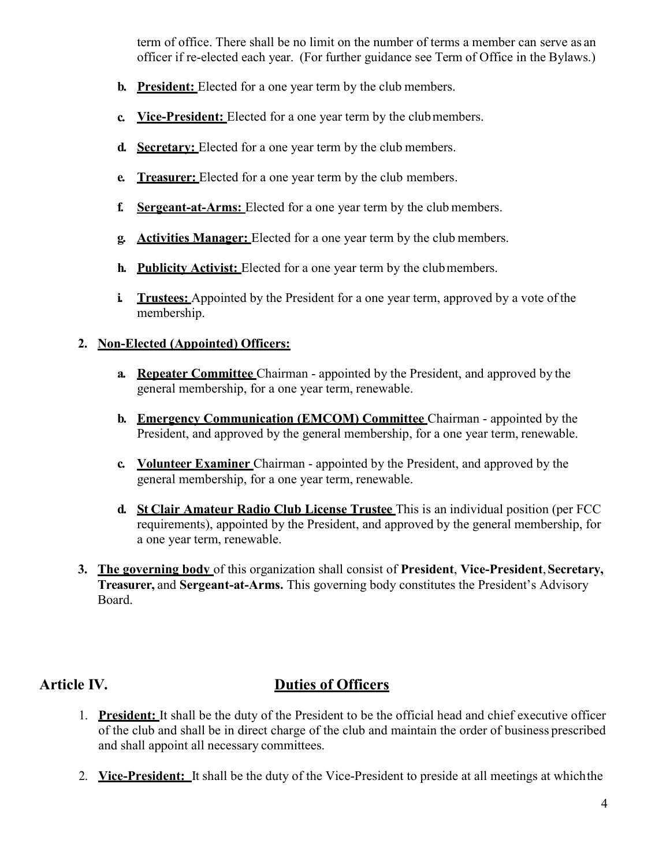term of office. There shall be no limit on the number of terms a member can serve as an officer if re-elected each year. (For further guidance see Term of Office in the Bylaws.)

- **b.** President: Elected for a one year term by the club members.
- c. Vice-President: Elected for a one year term by the club members.
- d. Secretary: Elected for a one year term by the club members.
- e. Treasurer: Elected for a one year term by the club members.
- f. Sergeant-at-Arms: Elected for a one year term by the club members.
- g. Activities Manager: Elected for a one year term by the club members.
- h. Publicity Activist: Elected for a one year term by the club members.
- i. Trustees: Appointed by the President for a one year term, approved by a vote of the membership.

### 2. Non-Elected (Appointed) Officers:

- **a.** Repeater Committee Chairman appointed by the President, and approved by the general membership, for a one year term, renewable.
- b. Emergency Communication (EMCOM) Committee Chairman appointed by the President, and approved by the general membership, for a one year term, renewable.
- c. Volunteer Examiner Chairman appointed by the President, and approved by the general membership, for a one year term, renewable.
- d. St Clair Amateur Radio Club License Trustee This is an individual position (per FCC requirements), appointed by the President, and approved by the general membership, for a one year term, renewable.
- 3. The governing body of this organization shall consist of President, Vice-President, Secretary, Treasurer, and Sergeant-at-Arms. This governing body constitutes the President's Advisory Board.

# Article IV. Duties of Officers

- 1. President: It shall be the duty of the President to be the official head and chief executive officer of the club and shall be in direct charge of the club and maintain the order of business prescribed and shall appoint all necessary committees.
- 2. Vice-President: It shall be the duty of the Vice-President to preside at all meetings at which the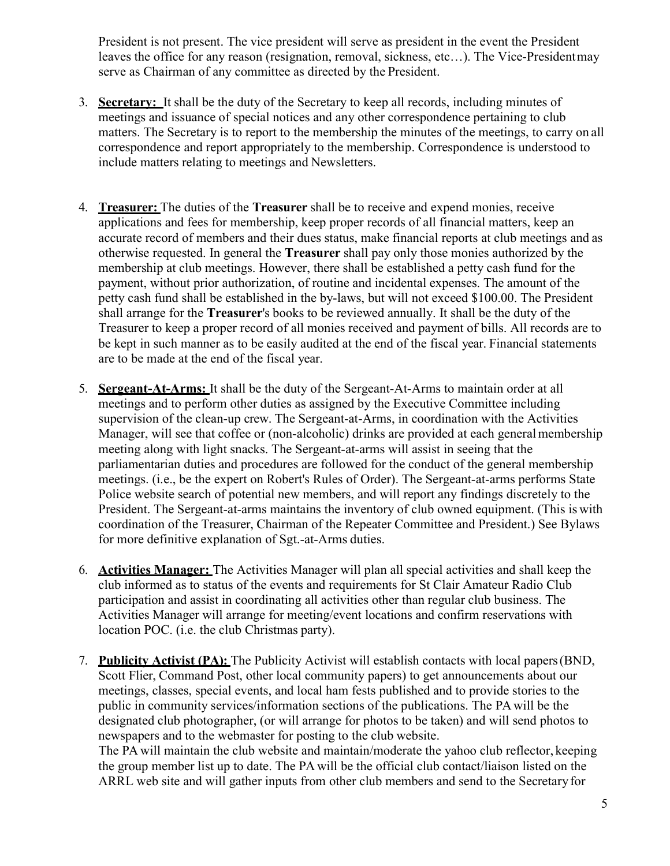President is not present. The vice president will serve as president in the event the President leaves the office for any reason (resignation, removal, sickness, etc…). The Vice-President may serve as Chairman of any committee as directed by the President.

- 3. Secretary: It shall be the duty of the Secretary to keep all records, including minutes of meetings and issuance of special notices and any other correspondence pertaining to club matters. The Secretary is to report to the membership the minutes of the meetings, to carry on all correspondence and report appropriately to the membership. Correspondence is understood to include matters relating to meetings and Newsletters.
- 4. Treasurer: The duties of the Treasurer shall be to receive and expend monies, receive applications and fees for membership, keep proper records of all financial matters, keep an accurate record of members and their dues status, make financial reports at club meetings and as otherwise requested. In general the Treasurer shall pay only those monies authorized by the membership at club meetings. However, there shall be established a petty cash fund for the payment, without prior authorization, of routine and incidental expenses. The amount of the petty cash fund shall be established in the by-laws, but will not exceed \$100.00. The President shall arrange for the Treasurer's books to be reviewed annually. It shall be the duty of the Treasurer to keep a proper record of all monies received and payment of bills. All records are to be kept in such manner as to be easily audited at the end of the fiscal year. Financial statements are to be made at the end of the fiscal year.
- 5. Sergeant-At-Arms: It shall be the duty of the Sergeant-At-Arms to maintain order at all meetings and to perform other duties as assigned by the Executive Committee including supervision of the clean-up crew. The Sergeant-at-Arms, in coordination with the Activities Manager, will see that coffee or (non-alcoholic) drinks are provided at each general membership meeting along with light snacks. The Sergeant-at-arms will assist in seeing that the parliamentarian duties and procedures are followed for the conduct of the general membership meetings. (i.e., be the expert on Robert's Rules of Order). The Sergeant-at-arms performs State Police website search of potential new members, and will report any findings discretely to the President. The Sergeant-at-arms maintains the inventory of club owned equipment. (This is with coordination of the Treasurer, Chairman of the Repeater Committee and President.) See Bylaws for more definitive explanation of Sgt.-at-Arms duties.
- 6. Activities Manager: The Activities Manager will plan all special activities and shall keep the club informed as to status of the events and requirements for St Clair Amateur Radio Club participation and assist in coordinating all activities other than regular club business. The Activities Manager will arrange for meeting/event locations and confirm reservations with location POC. (i.e. the club Christmas party).
- 7. Publicity Activist (PA): The Publicity Activist will establish contacts with local papers (BND, Scott Flier, Command Post, other local community papers) to get announcements about our meetings, classes, special events, and local ham fests published and to provide stories to the public in community services/information sections of the publications. The PA will be the designated club photographer, (or will arrange for photos to be taken) and will send photos to newspapers and to the webmaster for posting to the club website.

The PA will maintain the club website and maintain/moderate the yahoo club reflector, keeping the group member list up to date. The PA will be the official club contact/liaison listed on the ARRL web site and will gather inputs from other club members and send to the Secretary for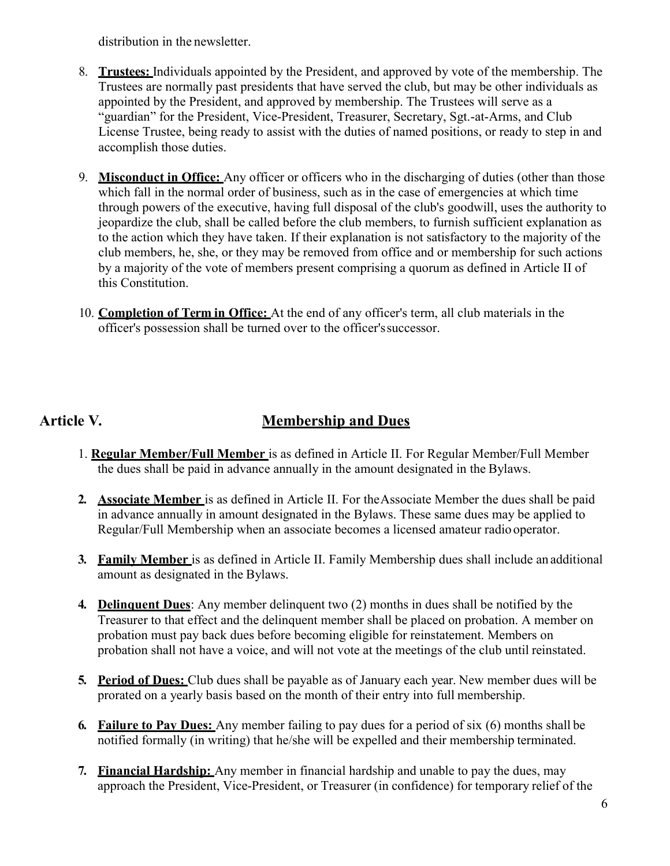distribution in the newsletter.

- 8. Trustees: Individuals appointed by the President, and approved by vote of the membership. The Trustees are normally past presidents that have served the club, but may be other individuals as appointed by the President, and approved by membership. The Trustees will serve as a "guardian" for the President, Vice-President, Treasurer, Secretary, Sgt.-at-Arms, and Club License Trustee, being ready to assist with the duties of named positions, or ready to step in and accomplish those duties.
- 9. Misconduct in Office: Any officer or officers who in the discharging of duties (other than those which fall in the normal order of business, such as in the case of emergencies at which time through powers of the executive, having full disposal of the club's goodwill, uses the authority to jeopardize the club, shall be called before the club members, to furnish sufficient explanation as to the action which they have taken. If their explanation is not satisfactory to the majority of the club members, he, she, or they may be removed from office and or membership for such actions by a majority of the vote of members present comprising a quorum as defined in Article II of this Constitution.
- 10. Completion of Term in Office: At the end of any officer's term, all club materials in the officer's possession shall be turned over to the officer's successor.

# Article V. Membership and Dues

- 1. Regular Member/Full Member is as defined in Article II. For Regular Member/Full Member the dues shall be paid in advance annually in the amount designated in the Bylaws.
- 2. Associate Member is as defined in Article II. For the Associate Member the dues shall be paid in advance annually in amount designated in the Bylaws. These same dues may be applied to Regular/Full Membership when an associate becomes a licensed amateur radio operator.
- 3. Family Member is as defined in Article II. Family Membership dues shall include an additional amount as designated in the Bylaws.
- 4. **Delinquent Dues**: Any member delinquent two (2) months in dues shall be notified by the Treasurer to that effect and the delinquent member shall be placed on probation. A member on probation must pay back dues before becoming eligible for reinstatement. Members on probation shall not have a voice, and will not vote at the meetings of the club until reinstated.
- 5. Period of Dues: Club dues shall be payable as of January each year. New member dues will be prorated on a yearly basis based on the month of their entry into full membership.
- 6. Failure to Pay Dues: Any member failing to pay dues for a period of six (6) months shall be notified formally (in writing) that he/she will be expelled and their membership terminated.
- 7. Financial Hardship: Any member in financial hardship and unable to pay the dues, may approach the President, Vice-President, or Treasurer (in confidence) for temporary relief of the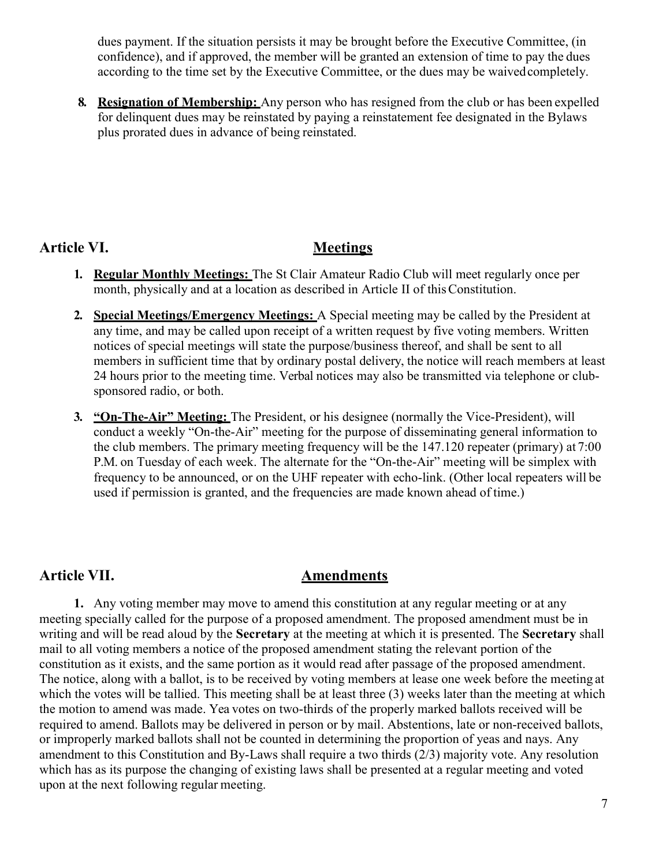dues payment. If the situation persists it may be brought before the Executive Committee, (in confidence), and if approved, the member will be granted an extension of time to pay the dues according to the time set by the Executive Committee, or the dues may be waived completely.

8. Resignation of Membership: Any person who has resigned from the club or has been expelled for delinquent dues may be reinstated by paying a reinstatement fee designated in the Bylaws plus prorated dues in advance of being reinstated.

### Article VI. Meetings

- 1. **Regular Monthly Meetings:** The St Clair Amateur Radio Club will meet regularly once per month, physically and at a location as described in Article II of this Constitution.
- 2. Special Meetings/Emergency Meetings: A Special meeting may be called by the President at any time, and may be called upon receipt of a written request by five voting members. Written notices of special meetings will state the purpose/business thereof, and shall be sent to all members in sufficient time that by ordinary postal delivery, the notice will reach members at least 24 hours prior to the meeting time. Verbal notices may also be transmitted via telephone or clubsponsored radio, or both.
- 3. "On-The-Air" Meeting: The President, or his designee (normally the Vice-President), will conduct a weekly "On-the-Air" meeting for the purpose of disseminating general information to the club members. The primary meeting frequency will be the 147.120 repeater (primary) at 7:00 P.M. on Tuesday of each week. The alternate for the "On-the-Air" meeting will be simplex with frequency to be announced, or on the UHF repeater with echo-link. (Other local repeaters will be used if permission is granted, and the frequencies are made known ahead of time.)

# Article VII. Amendments

1. Any voting member may move to amend this constitution at any regular meeting or at any meeting specially called for the purpose of a proposed amendment. The proposed amendment must be in writing and will be read aloud by the Secretary at the meeting at which it is presented. The Secretary shall mail to all voting members a notice of the proposed amendment stating the relevant portion of the constitution as it exists, and the same portion as it would read after passage of the proposed amendment. The notice, along with a ballot, is to be received by voting members at lease one week before the meeting at which the votes will be tallied. This meeting shall be at least three (3) weeks later than the meeting at which the motion to amend was made. Yea votes on two-thirds of the properly marked ballots received will be required to amend. Ballots may be delivered in person or by mail. Abstentions, late or non-received ballots, or improperly marked ballots shall not be counted in determining the proportion of yeas and nays. Any amendment to this Constitution and By-Laws shall require a two thirds (2/3) majority vote. Any resolution which has as its purpose the changing of existing laws shall be presented at a regular meeting and voted upon at the next following regular meeting.